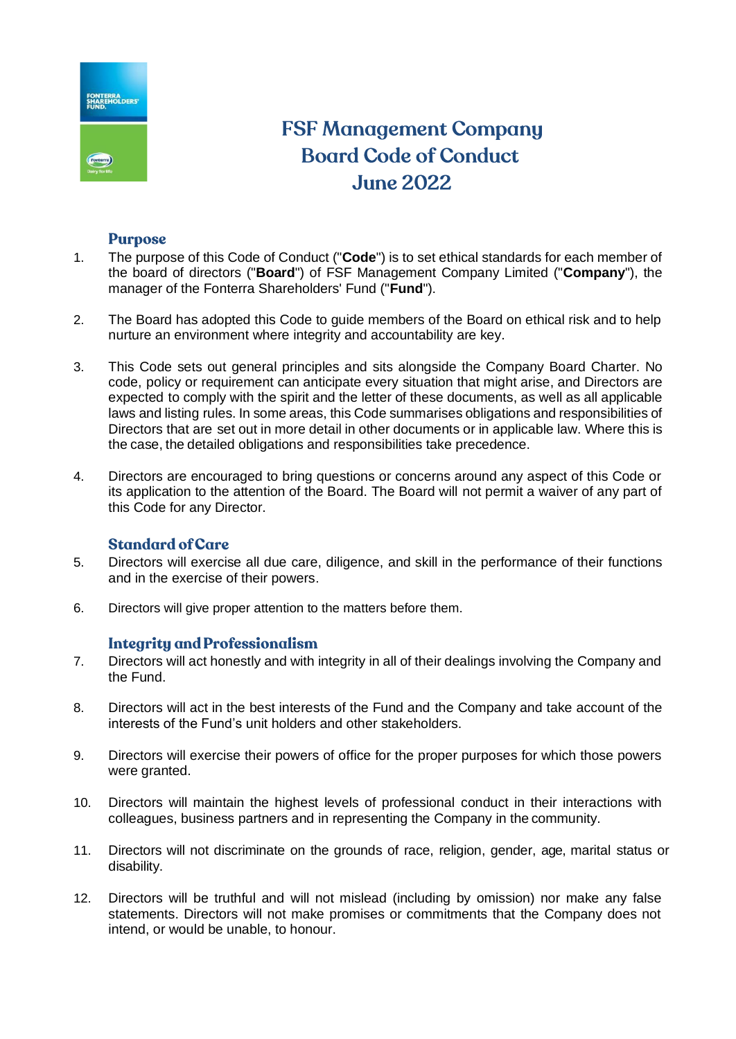

# **FSF Management Company Board Code of Conduct June 2022**

## **Purpose**

- 1. The purpose of this Code of Conduct ("**Code**") is to set ethical standards for each member of the board of directors ("**Board**") of FSF Management Company Limited ("**Company**"), the manager of the Fonterra Shareholders' Fund ("**Fund**").
- 2. The Board has adopted this Code to guide members of the Board on ethical risk and to help nurture an environment where integrity and accountability are key.
- 3. This Code sets out general principles and sits alongside the Company Board Charter. No code, policy or requirement can anticipate every situation that might arise, and Directors are expected to comply with the spirit and the letter of these documents, as well as all applicable laws and listing rules. In some areas, this Code summarises obligations and responsibilities of Directors that are set out in more detail in other documents or in applicable law. Where this is the case, the detailed obligations and responsibilities take precedence.
- 4. Directors are encouraged to bring questions or concerns around any aspect of this Code or its application to the attention of the Board. The Board will not permit a waiver of any part of this Code for any Director.

## **Standard of Care**

- 5. Directors will exercise all due care, diligence, and skill in the performance of their functions and in the exercise of their powers.
- 6. Directors will give proper attention to the matters before them.

## **Integrity and Professionalism**

- 7. Directors will act honestly and with integrity in all of their dealings involving the Company and the Fund.
- 8. Directors will act in the best interests of the Fund and the Company and take account of the interests of the Fund's unit holders and other stakeholders.
- 9. Directors will exercise their powers of office for the proper purposes for which those powers were granted.
- 10. Directors will maintain the highest levels of professional conduct in their interactions with colleagues, business partners and in representing the Company in the community.
- 11. Directors will not discriminate on the grounds of race, religion, gender, age, marital status or disability.
- 12. Directors will be truthful and will not mislead (including by omission) nor make any false statements. Directors will not make promises or commitments that the Company does not intend, or would be unable, to honour.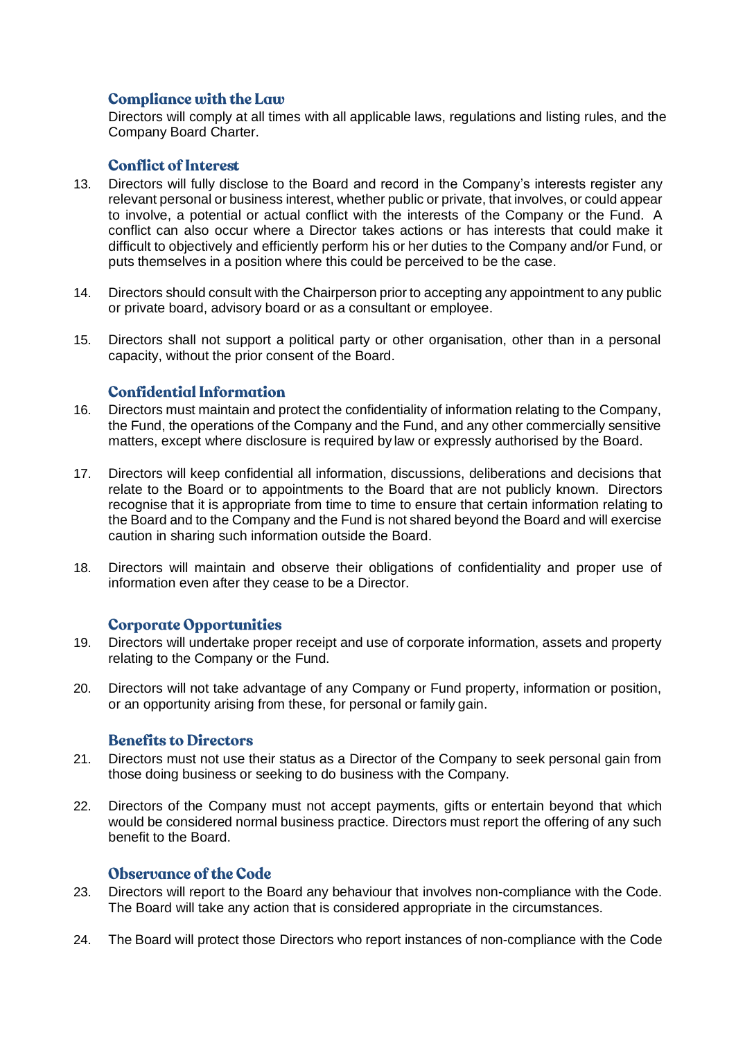# **Compliance with the Law**

Directors will comply at all times with all applicable laws, regulations and listing rules, and the Company Board Charter.

#### **Conflict of Interest**

- 13. Directors will fully disclose to the Board and record in the Company's interests register any relevant personal or business interest, whether public or private, that involves, or could appear to involve, a potential or actual conflict with the interests of the Company or the Fund. A conflict can also occur where a Director takes actions or has interests that could make it difficult to objectively and efficiently perform his or her duties to the Company and/or Fund, or puts themselves in a position where this could be perceived to be the case.
- 14. Directors should consult with the Chairperson prior to accepting any appointment to any public or private board, advisory board or as a consultant or employee.
- 15. Directors shall not support a political party or other organisation, other than in a personal capacity, without the prior consent of the Board.

#### **Confidential Information**

- 16. Directors must maintain and protect the confidentiality of information relating to the Company, the Fund, the operations of the Company and the Fund, and any other commercially sensitive matters, except where disclosure is required by law or expressly authorised by the Board.
- 17. Directors will keep confidential all information, discussions, deliberations and decisions that relate to the Board or to appointments to the Board that are not publicly known. Directors recognise that it is appropriate from time to time to ensure that certain information relating to the Board and to the Company and the Fund is not shared beyond the Board and will exercise caution in sharing such information outside the Board.
- 18. Directors will maintain and observe their obligations of confidentiality and proper use of information even after they cease to be a Director.

#### **Corporate Opportunities**

- 19. Directors will undertake proper receipt and use of corporate information, assets and property relating to the Company or the Fund.
- 20. Directors will not take advantage of any Company or Fund property, information or position, or an opportunity arising from these, for personal or family gain.

## **Benefits to Directors**

- 21. Directors must not use their status as a Director of the Company to seek personal gain from those doing business or seeking to do business with the Company.
- 22. Directors of the Company must not accept payments, gifts or entertain beyond that which would be considered normal business practice. Directors must report the offering of any such benefit to the Board.

#### **Observance of the Code**

- 23. Directors will report to the Board any behaviour that involves non-compliance with the Code. The Board will take any action that is considered appropriate in the circumstances.
- 24. The Board will protect those Directors who report instances of non-compliance with the Code